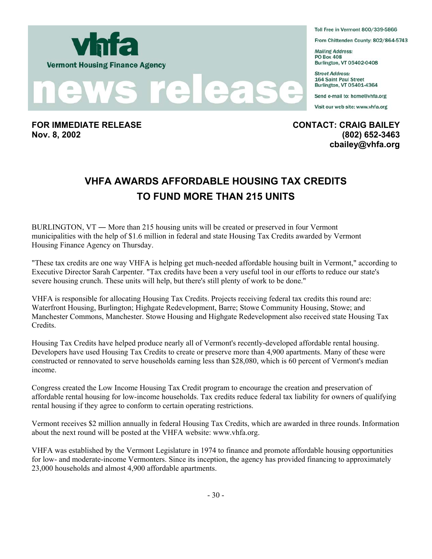



**FOR IMMEDIATE RELEASE CONTACT: CRAIG BAILEY Nov. 8, 2002 (802) 652-3463** 

Toll Free in Vermont 800/339-5866

From Chittenden County: 802/864-5743

**Mailing Address: PO Box 408** Burlington, VT 05402-0408

**Street Address:** 164 Saint Paul Street Burlington, VT 05401-4364

Send e-mail to: home@vhfa.org

Visit our web site: www.vhfa.org

**cbailey@vhfa.org** 

## **VHFA AWARDS AFFORDABLE HOUSING TAX CREDITS TO FUND MORE THAN 215 UNITS**

BURLINGTON, VT ― More than 215 housing units will be created or preserved in four Vermont municipalities with the help of \$1.6 million in federal and state Housing Tax Credits awarded by Vermont Housing Finance Agency on Thursday.

"These tax credits are one way VHFA is helping get much-needed affordable housing built in Vermont," according to Executive Director Sarah Carpenter. "Tax credits have been a very useful tool in our efforts to reduce our state's severe housing crunch. These units will help, but there's still plenty of work to be done."

VHFA is responsible for allocating Housing Tax Credits. Projects receiving federal tax credits this round are: Waterfront Housing, Burlington; Highgate Redevelopment, Barre; Stowe Community Housing, Stowe; and Manchester Commons, Manchester. Stowe Housing and Highgate Redevelopment also received state Housing Tax Credits.

Housing Tax Credits have helped produce nearly all of Vermont's recently-developed affordable rental housing. Developers have used Housing Tax Credits to create or preserve more than 4,900 apartments. Many of these were constructed or rennovated to serve households earning less than \$28,080, which is 60 percent of Vermont's median income.

Congress created the Low Income Housing Tax Credit program to encourage the creation and preservation of affordable rental housing for low-income households. Tax credits reduce federal tax liability for owners of qualifying rental housing if they agree to conform to certain operating restrictions.

Vermont receives \$2 million annually in federal Housing Tax Credits, which are awarded in three rounds. Information about the next round will be posted at the VHFA website: www.vhfa.org.

VHFA was established by the Vermont Legislature in 1974 to finance and promote affordable housing opportunities for low- and moderate-income Vermonters. Since its inception, the agency has provided financing to approximately 23,000 households and almost 4,900 affordable apartments.